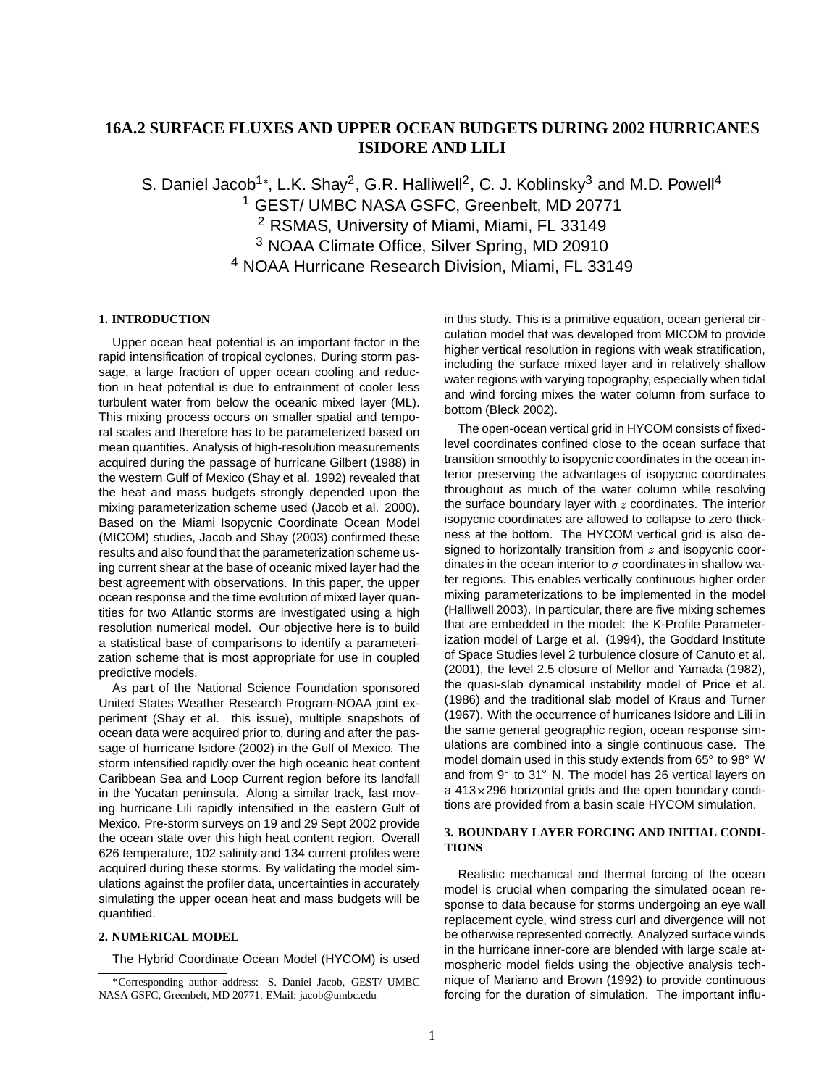# **16A.2 SURFACE FLUXES AND UPPER OCEAN BUDGETS DURING 2002 HURRICANES ISIDORE AND LILI**

S. Daniel Jacob<sup>1</sup>\*, L.K. Shay<sup>2</sup>, G.R. Halliwell<sup>2</sup>, C. J. Koblinsky<sup>3</sup> and M.D. Powell<sup>4</sup> GEST/ UMBC NASA GSFC, Greenbelt, MD 20771 RSMAS, University of Miami, Miami, FL 33149 NOAA Climate Office, Silver Spring, MD 20910 NOAA Hurricane Research Division, Miami, FL 33149

#### **1. INTRODUCTION**

Upper ocean heat potential is an important factor in the rapid intensification of tropical cyclones. During storm passage, a large fraction of upper ocean cooling and reduction in heat potential is due to entrainment of cooler less turbulent water from below the oceanic mixed layer (ML). This mixing process occurs on smaller spatial and temporal scales and therefore has to be parameterized based on mean quantities. Analysis of high-resolution measurements acquired during the passage of hurricane Gilbert (1988) in the western Gulf of Mexico (Shay et al. 1992) revealed that the heat and mass budgets strongly depended upon the mixing parameterization scheme used (Jacob et al. 2000). Based on the Miami Isopycnic Coordinate Ocean Model (MICOM) studies, Jacob and Shay (2003) confirmed these results and also found that the parameterization scheme using current shear at the base of oceanic mixed layer had the best agreement with observations. In this paper, the upper ocean response and the time evolution of mixed layer quantities for two Atlantic storms are investigated using a high resolution numerical model. Our objective here is to build a statistical base of comparisons to identify a parameterization scheme that is most appropriate for use in coupled predictive models.

As part of the National Science Foundation sponsored United States Weather Research Program-NOAA joint experiment (Shay et al. this issue), multiple snapshots of ocean data were acquired prior to, during and after the passage of hurricane Isidore (2002) in the Gulf of Mexico. The storm intensified rapidly over the high oceanic heat content Caribbean Sea and Loop Current region before its landfall in the Yucatan peninsula. Along a similar track, fast moving hurricane Lili rapidly intensified in the eastern Gulf of Mexico. Pre-storm surveys on 19 and 29 Sept 2002 provide the ocean state over this high heat content region. Overall 626 temperature, 102 salinity and 134 current profiles were acquired during these storms. By validating the model simulations against the profiler data, uncertainties in accurately simulating the upper ocean heat and mass budgets will be quantified.

## **2. NUMERICAL MODEL**

The Hybrid Coordinate Ocean Model (HYCOM) is used

in this study. This is a primitive equation, ocean general circulation model that was developed from MICOM to provide higher vertical resolution in regions with weak stratification, including the surface mixed layer and in relatively shallow water regions with varying topography, especially when tidal and wind forcing mixes the water column from surface to bottom (Bleck 2002).

The open-ocean vertical grid in HYCOM consists of fixedlevel coordinates confined close to the ocean surface that transition smoothly to isopycnic coordinates in the ocean interior preserving the advantages of isopycnic coordinates throughout as much of the water column while resolving the surface boundary layer with  $z$  coordinates. The interior isopycnic coordinates are allowed to collapse to zero thickness at the bottom. The HYCOM vertical grid is also designed to horizontally transition from  $z$  and isopycnic coordinates in the ocean interior to  $\sigma$  coordinates in shallow water regions. This enables vertically continuous higher order mixing parameterizations to be implemented in the model (Halliwell 2003). In particular, there are five mixing schemes that are embedded in the model: the K-Profile Parameterization model of Large et al. (1994), the Goddard Institute of Space Studies level 2 turbulence closure of Canuto et al. (2001), the level 2.5 closure of Mellor and Yamada (1982), the quasi-slab dynamical instability model of Price et al. (1986) and the traditional slab model of Kraus and Turner (1967). With the occurrence of hurricanes Isidore and Lili in the same general geographic region, ocean response simulations are combined into a single continuous case. The model domain used in this study extends from 65 to 98 W and from  $9^{\circ}$  to 31 $^{\circ}$  N. The model has 26 vertical layers on a  $413 \times 296$  horizontal grids and the open boundary conditions are provided from a basin scale HYCOM simulation.

### **3. BOUNDARY LAYER FORCING AND INITIAL CONDI-TIONS**

Realistic mechanical and thermal forcing of the ocean model is crucial when comparing the simulated ocean response to data because for storms undergoing an eye wall replacement cycle, wind stress curl and divergence will not be otherwise represented correctly. Analyzed surface winds in the hurricane inner-core are blended with large scale atmospheric model fields using the objective analysis technique of Mariano and Brown (1992) to provide continuous forcing for the duration of simulation. The important influ-

Corresponding author address: S. Daniel Jacob, GEST/ UMBC NASA GSFC, Greenbelt, MD 20771. EMail: jacob@umbc.edu